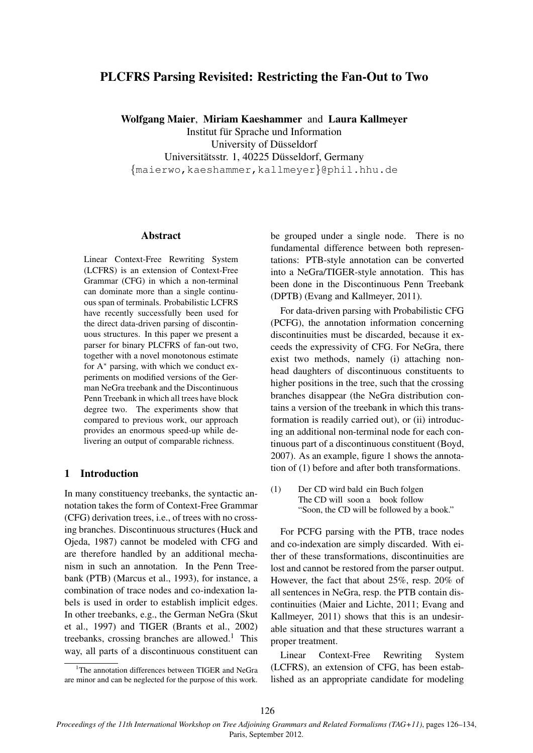# PLCFRS Parsing Revisited: Restricting the Fan-Out to Two

Wolfgang Maier, Miriam Kaeshammer and Laura Kallmeyer

Institut fur Sprache und Information ¨

University of Düsseldorf Universitätsstr. 1, 40225 Düsseldorf, Germany

{maierwo,kaeshammer,kallmeyer}@phil.hhu.de

### Abstract

Linear Context-Free Rewriting System (LCFRS) is an extension of Context-Free Grammar (CFG) in which a non-terminal can dominate more than a single continuous span of terminals. Probabilistic LCFRS have recently successfully been used for the direct data-driven parsing of discontinuous structures. In this paper we present a parser for binary PLCFRS of fan-out two, together with a novel monotonous estimate for A<sup>∗</sup> parsing, with which we conduct experiments on modified versions of the German NeGra treebank and the Discontinuous Penn Treebank in which all trees have block degree two. The experiments show that compared to previous work, our approach provides an enormous speed-up while delivering an output of comparable richness.

# 1 Introduction

In many constituency treebanks, the syntactic annotation takes the form of Context-Free Grammar (CFG) derivation trees, i.e., of trees with no crossing branches. Discontinuous structures (Huck and Ojeda, 1987) cannot be modeled with CFG and are therefore handled by an additional mechanism in such an annotation. In the Penn Treebank (PTB) (Marcus et al., 1993), for instance, a combination of trace nodes and co-indexation labels is used in order to establish implicit edges. In other treebanks, e.g., the German NeGra (Skut et al., 1997) and TIGER (Brants et al., 2002) treebanks, crossing branches are allowed.<sup>1</sup> This way, all parts of a discontinuous constituent can

be grouped under a single node. There is no fundamental difference between both representations: PTB-style annotation can be converted into a NeGra/TIGER-style annotation. This has been done in the Discontinuous Penn Treebank (DPTB) (Evang and Kallmeyer, 2011).

For data-driven parsing with Probabilistic CFG (PCFG), the annotation information concerning discontinuities must be discarded, because it exceeds the expressivity of CFG. For NeGra, there exist two methods, namely (i) attaching nonhead daughters of discontinuous constituents to higher positions in the tree, such that the crossing branches disappear (the NeGra distribution contains a version of the treebank in which this transformation is readily carried out), or (ii) introducing an additional non-terminal node for each continuous part of a discontinuous constituent (Boyd, 2007). As an example, figure 1 shows the annotation of (1) before and after both transformations.

(1) Der CD wird bald ein Buch folgen The CD will soon a book follow "Soon, the CD will be followed by a book."

For PCFG parsing with the PTB, trace nodes and co-indexation are simply discarded. With either of these transformations, discontinuities are lost and cannot be restored from the parser output. However, the fact that about 25%, resp. 20% of all sentences in NeGra, resp. the PTB contain discontinuities (Maier and Lichte, 2011; Evang and Kallmeyer, 2011) shows that this is an undesirable situation and that these structures warrant a proper treatment.

Linear Context-Free Rewriting System (LCFRS), an extension of CFG, has been established as an appropriate candidate for modeling

<sup>&</sup>lt;sup>1</sup>The annotation differences between TIGER and NeGra are minor and can be neglected for the purpose of this work.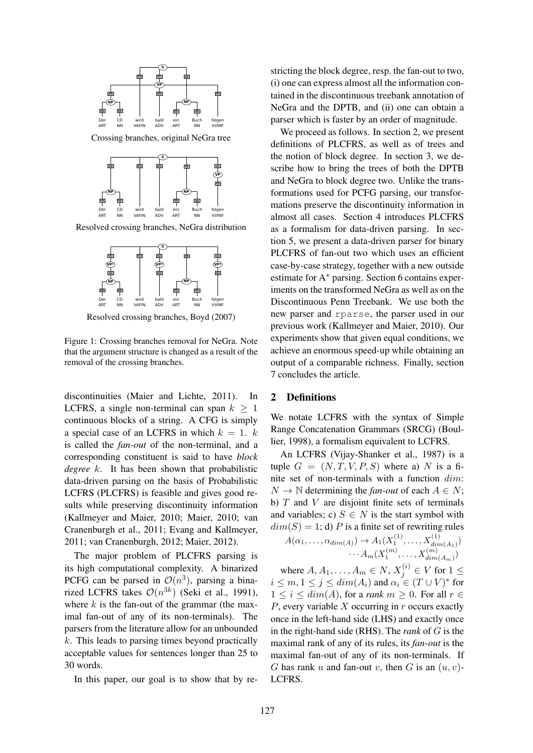

Resolved crossing branches, NeGra distribution



Resolved crossing branches, Boyd (2007)

Figure 1: Crossing branches removal for NeGra. Note that the argument structure is changed as a result of the removal of the crossing branches.

discontinuities (Maier and Lichte, 2011). In LCFRS, a single non-terminal can span  $k > 1$ continuous blocks of a string. A CFG is simply a special case of an LCFRS in which  $k = 1$ . k is called the *fan-out* of the non-terminal, and a corresponding constituent is said to have *block degree* k. It has been shown that probabilistic data-driven parsing on the basis of Probabilistic LCFRS (PLCFRS) is feasible and gives good results while preserving discontinuity information (Kallmeyer and Maier, 2010; Maier, 2010; van Cranenburgh et al., 2011; Evang and Kallmeyer, 2011; van Cranenburgh, 2012; Maier, 2012).

The major problem of PLCFRS parsing is its high computational complexity. A binarized PCFG can be parsed in  $\mathcal{O}(n^3)$ , parsing a binarized LCFRS takes  $\mathcal{O}(n^{3k})$  (Seki et al., 1991), where  $k$  is the fan-out of the grammar (the maximal fan-out of any of its non-terminals). The parsers from the literature allow for an unbounded  $k$ . This leads to parsing times beyond practically acceptable values for sentences longer than 25 to 30 words.

In this paper, our goal is to show that by re-

stricting the block degree, resp. the fan-out to two, (i) one can express almost all the information contained in the discontinuous treebank annotation of NeGra and the DPTB, and (ii) one can obtain a parser which is faster by an order of magnitude.

We proceed as follows. In section 2, we present definitions of PLCFRS, as well as of trees and the notion of block degree. In section 3, we describe how to bring the trees of both the DPTB and NeGra to block degree two. Unlike the transformations used for PCFG parsing, our transformations preserve the discontinuity information in almost all cases. Section 4 introduces PLCFRS as a formalism for data-driven parsing. In section 5, we present a data-driven parser for binary PLCFRS of fan-out two which uses an efficient case-by-case strategy, together with a new outside estimate for A∗ parsing. Section 6 contains experiments on the transformed NeGra as well as on the Discontinuous Penn Treebank. We use both the new parser and rparse, the parser used in our previous work (Kallmeyer and Maier, 2010). Our experiments show that given equal conditions, we achieve an enormous speed-up while obtaining an output of a comparable richness. Finally, section 7 concludes the article.

# 2 Definitions

We notate LCFRS with the syntax of Simple Range Concatenation Grammars (SRCG) (Boullier, 1998), a formalism equivalent to LCFRS.

An LCFRS (Vijay-Shanker et al., 1987) is a tuple  $G = (N, T, V, P, S)$  where a) N is a finite set of non-terminals with a function dim:  $N \to \mathbb{N}$  determining the *fan-out* of each  $A \in N$ ; b)  $T$  and  $V$  are disjoint finite sets of terminals and variables; c)  $S \in N$  is the start symbol with  $dim(S) = 1$ ; d) P is a finite set of rewriting rules

$$
A(\alpha_1, ..., \alpha_{dim(A)}) \to A_1(X_1^{(1)}, ..., X_{dim(A_1)}^{(1)})
$$

$$
... A_m(X_1^{(m)}, ..., X_{dim(A_m)}^{(m)})
$$

where  $A, A_1, \ldots, A_m \in N$ ,  $X_j^{(i)} \in V$  for  $1 \leq$  $i \leq m, 1 \leq j \leq dim(A_i)$  and  $\alpha_i \in (T \cup V)^*$  for  $1 \leq i \leq dim(A)$ , for a *rank*  $m \geq 0$ . For all  $r \in$  $P$ , every variable  $X$  occurring in  $r$  occurs exactly once in the left-hand side (LHS) and exactly once in the right-hand side (RHS). The *rank* of G is the maximal rank of any of its rules, its *fan-out* is the maximal fan-out of any of its non-terminals. If G has rank u and fan-out v, then G is an  $(u, v)$ -LCFRS.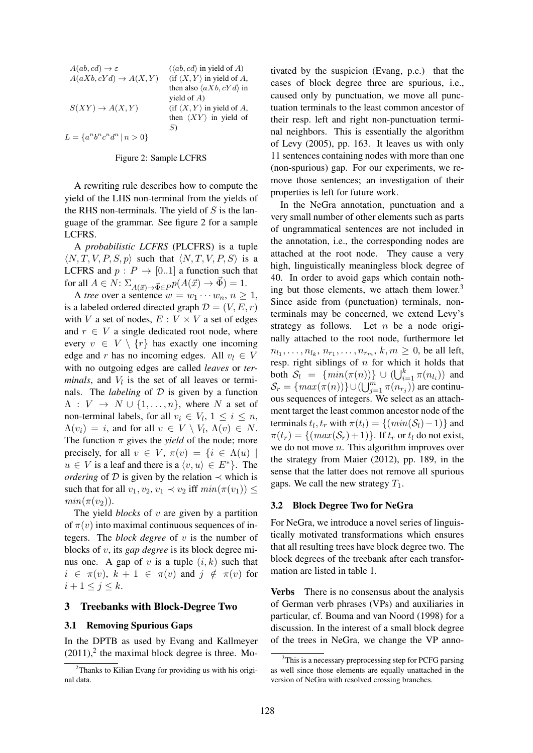| $A(ab, cd) \rightarrow \varepsilon$  | $(\langle ab, cd \rangle$ in yield of A)      |
|--------------------------------------|-----------------------------------------------|
| $A(aXb, cYd) \rightarrow A(X, Y)$    | $(i \in \langle X, Y \rangle)$ in yield of A, |
|                                      | then also $\langle a Xb, cYd \rangle$ in      |
|                                      | yield of $A$ )                                |
| $S(XY) \to A(X,Y)$                   | $(i \in \langle X, Y \rangle)$ in yield of A, |
|                                      | then $\langle XY \rangle$ in yield of         |
|                                      | S)                                            |
| $L = \{a^n b^n c^n d^n \mid n > 0\}$ |                                               |

#### Figure 2: Sample LCFRS

A rewriting rule describes how to compute the yield of the LHS non-terminal from the yields of the RHS non-terminals. The yield of  $S$  is the language of the grammar. See figure 2 for a sample LCFRS.

A *probabilistic LCFRS* (PLCFRS) is a tuple  $\langle N, T, V, P, S, p \rangle$  such that  $\langle N, T, V, P, S \rangle$  is a LCFRS and  $p : P \rightarrow [0..1]$  a function such that for all  $A \in N$ :  $\Sigma_{A(\vec{x}) \to \vec{\Phi} \in P} p(A(\vec{x}) \to \vec{\Phi}) = 1$ .

A *tree* over a sentence  $w = w_1 \cdots w_n, n \ge 1$ , is a labeled ordered directed graph  $\mathcal{D} = (V, E, r)$ with V a set of nodes,  $E: V \times V$  a set of edges and  $r \in V$  a single dedicated root node, where every  $v \in V \setminus \{r\}$  has exactly one incoming edge and r has no incoming edges. All  $v_l \in V$ with no outgoing edges are called *leaves* or *ter* $minus$ , and  $V_l$  is the set of all leaves or terminals. The *labeling* of  $D$  is given by a function  $\Lambda: V \to N \cup \{1, \ldots, n\}$ , where N a set of non-terminal labels, for all  $v_i \in V_l$ ,  $1 \leq i \leq n$ ,  $\Lambda(v_i) = i$ , and for all  $v \in V \setminus V_i$ ,  $\Lambda(v) \in N$ . The function  $\pi$  gives the *yield* of the node; more precisely, for all  $v \in V$ ,  $\pi(v) = \{i \in \Lambda(u) \mid$  $u \in V$  is a leaf and there is a  $\langle v, u \rangle \in E^*$ . The *ordering* of  $D$  is given by the relation  $\prec$  which is such that for all  $v_1, v_2, v_1 \prec v_2$  iff  $min(\pi(v_1)) \le$  $min(\pi(v_2)).$ 

The yield *blocks* of v are given by a partition of  $\pi(v)$  into maximal continuous sequences of integers. The *block degree* of v is the number of blocks of v, its *gap degree* is its block degree minus one. A gap of v is a tuple  $(i, k)$  such that  $i \in \pi(v)$ ,  $k + 1 \in \pi(v)$  and  $j \notin \pi(v)$  for  $i+1 \leq j \leq k$ .

#### 3 Treebanks with Block-Degree Two

### 3.1 Removing Spurious Gaps

In the DPTB as used by Evang and Kallmeyer  $(2011)$ ,<sup>2</sup> the maximal block degree is three. Motivated by the suspicion (Evang, p.c.) that the cases of block degree three are spurious, i.e., caused only by punctuation, we move all punctuation terminals to the least common ancestor of their resp. left and right non-punctuation terminal neighbors. This is essentially the algorithm of Levy (2005), pp. 163. It leaves us with only 11 sentences containing nodes with more than one (non-spurious) gap. For our experiments, we remove those sentences; an investigation of their properties is left for future work.

In the NeGra annotation, punctuation and a very small number of other elements such as parts of ungrammatical sentences are not included in the annotation, i.e., the corresponding nodes are attached at the root node. They cause a very high, linguistically meaningless block degree of 40. In order to avoid gaps which contain nothing but those elements, we attach them lower. $3$ Since aside from (punctuation) terminals, nonterminals may be concerned, we extend Levy's strategy as follows. Let  $n$  be a node originally attached to the root node, furthermore let  $n_{l_1}, \ldots, n_{l_k}, n_{r_1}, \ldots, n_{r_m}, k, m \ge 0$ , be all left, resp. right siblings of  $n$  for which it holds that both  $S_l = \{ min(\pi(n)) \} \cup (\bigcup_{i=1}^k \pi(n_{l_i}))$  and  $\mathcal{S}_r = \{ max(\pi(n)) \} \cup (\bigcup_{j=1}^m \pi(n_{r_j}))$  are continuous sequences of integers. We select as an attachment target the least common ancestor node of the terminals  $t_l, t_r$  with  $\pi(t_l) = \{ (min(S_l) - 1) \}$  and  $\pi(t_r) = \{(\max(S_r) + 1)\}\.$  If  $t_r$  or  $t_l$  do not exist, we do not move  $n$ . This algorithm improves over the strategy from Maier (2012), pp. 189, in the sense that the latter does not remove all spurious gaps. We call the new strategy  $T_1$ .

#### 3.2 Block Degree Two for NeGra

For NeGra, we introduce a novel series of linguistically motivated transformations which ensures that all resulting trees have block degree two. The block degrees of the treebank after each transformation are listed in table 1.

Verbs There is no consensus about the analysis of German verb phrases (VPs) and auxiliaries in particular, cf. Bouma and van Noord (1998) for a discussion. In the interest of a small block degree of the trees in NeGra, we change the VP anno-

 $2$ Thanks to Kilian Evang for providing us with his original data.

<sup>&</sup>lt;sup>3</sup>This is a necessary preprocessing step for PCFG parsing as well since those elements are equally unattached in the version of NeGra with resolved crossing branches.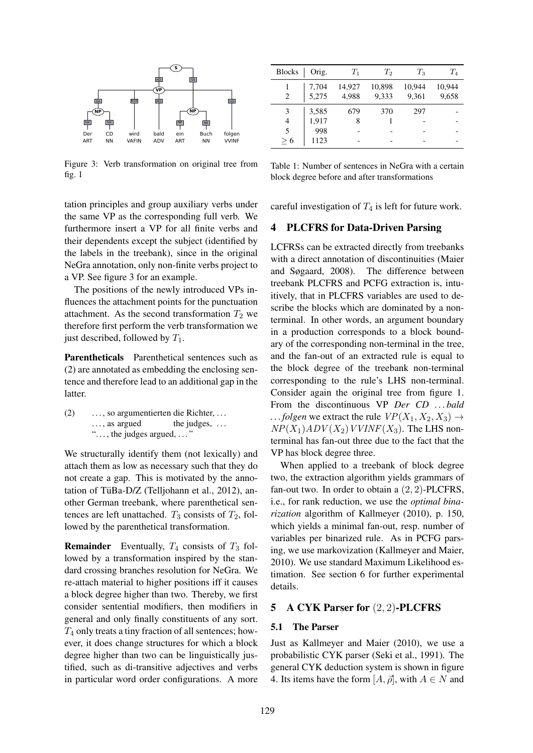

Figure 3: Verb transformation on original tree from fig. 1

tation principles and group auxiliary verbs under the same VP as the corresponding full verb. We furthermore insert a VP for all finite verbs and their dependents except the subject (identified by the labels in the treebank), since in the original NeGra annotation, only non-finite verbs project to a VP. See figure 3 for an example.

The positions of the newly introduced VPs influences the attachment points for the punctuation attachment. As the second transformation  $T_2$  we therefore first perform the verb transformation we just described, followed by  $T_1$ .

Parentheticals Parenthetical sentences such as (2) are annotated as embedding the enclosing sentence and therefore lead to an additional gap in the latter.

(2) . . . , so argumentierten die Richter, . . . ..., as argued the judges, . . . "..., the judges argued, ..."

We structurally identify them (not lexically) and attach them as low as necessary such that they do not create a gap. This is motivated by the annotation of TüBa-D/Z (Telljohann et al., 2012), another German treebank, where parenthetical sentences are left unattached.  $T_3$  consists of  $T_2$ , followed by the parenthetical transformation.

**Remainder** Eventually,  $T_4$  consists of  $T_3$  followed by a transformation inspired by the standard crossing branches resolution for NeGra. We re-attach material to higher positions iff it causes a block degree higher than two. Thereby, we first consider sentential modifiers, then modifiers in general and only finally constituents of any sort.  $T_4$  only treats a tiny fraction of all sentences; however, it does change structures for which a block degree higher than two can be linguistically justified, such as di-transitive adjectives and verbs in particular word order configurations. A more

| <b>Blocks</b> | Orig.          | $T_1$           | $T_2$           | $T_3$           | $T_{4}$         |
|---------------|----------------|-----------------|-----------------|-----------------|-----------------|
| 2             | 7,704<br>5,275 | 14,927<br>4,988 | 10,898<br>9,333 | 10,944<br>9,361 | 10,944<br>9,658 |
|               |                |                 |                 |                 |                 |
|               | 3,585          | 679             | 370             | 297             |                 |
| 4             | 1,917          | 8               |                 |                 |                 |
| 5             | 998            |                 |                 |                 |                 |
| > 6           | 1123           |                 |                 |                 |                 |

Table 1: Number of sentences in NeGra with a certain block degree before and after transformations

careful investigation of  $T_4$  is left for future work.

# 4 PLCFRS for Data-Driven Parsing

LCFRSs can be extracted directly from treebanks with a direct annotation of discontinuities (Maier and Søgaard, 2008). The difference between treebank PLCFRS and PCFG extraction is, intuitively, that in PLCFRS variables are used to describe the blocks which are dominated by a nonterminal. In other words, an argument boundary in a production corresponds to a block boundary of the corresponding non-terminal in the tree, and the fan-out of an extracted rule is equal to the block degree of the treebank non-terminal corresponding to the rule's LHS non-terminal. Consider again the original tree from figure 1. From the discontinuous VP *Der CD . . . bald*  $\ldots$  *folgen* we extract the rule  $VP(X_1, X_2, X_3) \rightarrow$  $NP(X_1)ADV(X_2)VVINF(X_3)$ . The LHS nonterminal has fan-out three due to the fact that the VP has block degree three.

When applied to a treebank of block degree two, the extraction algorithm yields grammars of fan-out two. In order to obtain a  $(2, 2)$ -PLCFRS, i.e., for rank reduction, we use the *optimal binarization* algorithm of Kallmeyer (2010), p. 150, which yields a minimal fan-out, resp. number of variables per binarized rule. As in PCFG parsing, we use markovization (Kallmeyer and Maier, 2010). We use standard Maximum Likelihood estimation. See section 6 for further experimental details.

# 5 A CYK Parser for (2, 2)-PLCFRS

# 5.1 The Parser

Just as Kallmeyer and Maier (2010), we use a probabilistic CYK parser (Seki et al., 1991). The general CYK deduction system is shown in figure 4. Its items have the form  $[A, \vec{\rho}]$ , with  $A \in N$  and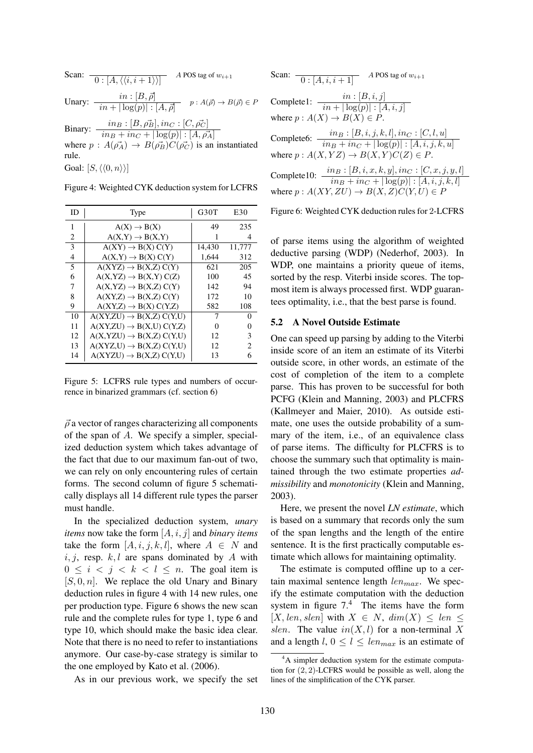\n- Scan: 
$$
\overline{0: [A, \langle \langle i, i+1 \rangle \rangle]}
$$
 *A* POS tag of  $w_{i+1}$
\n- Unary:  $\frac{\text{in} \cdot [B, \vec{\rho}]}{\text{in} + |\log(p)| : [A, \vec{\rho}]} \quad p: A(\vec{\rho}) \to B(\vec{\rho}) \in P$
\n- Binary:  $\frac{\text{in}_B : [B, \rho_B^2], \text{in}_C : [C, \rho_C^{\perp}] }{\text{in}_B + \text{in}_C + |\log(p)| : [A, \rho_A^{\perp}]}$  where  $p: A(\vec{\rho}_A) \to B(\vec{\rho}_B^{\perp})C(\vec{\rho}_C^{\perp})$  is an instantiated rule.  $\text{Goal}: [S, \langle \langle 0, n \rangle \rangle]$
\n

Figure 4: Weighted CYK deduction system for LCFRS

| ID | Type                                 | G <sub>30</sub> T | E30    |
|----|--------------------------------------|-------------------|--------|
| 1  | $A(X) \rightarrow B(X)$              | 49                | 235    |
| 2  | $A(X,Y) \rightarrow B(X,Y)$          |                   | 4      |
| 3  | $A(XY) \rightarrow B(X) C(Y)$        | 14,430            | 11,777 |
| 4  | $A(X,Y) \rightarrow B(X) C(Y)$       | 1,644             | 312    |
| 5  | $A(XYZ) \rightarrow B(X,Z) C(Y)$     | 621               | 205    |
| 6  | $A(X, YZ) \rightarrow B(X, Y) C(Z)$  | 100               | 45     |
| 7  | $A(X,YZ) \rightarrow B(X,Z) C(Y)$    | 142               | 94     |
| 8  | $A(XY,Z) \rightarrow B(X,Z) C(Y)$    | 172               | 10     |
| 9  | $A(XY,Z) \rightarrow B(X) C(Y,Z)$    | 582               | 108    |
| 10 | $A(XY,ZU) \rightarrow B(X,Z) C(Y,U)$ | 7                 | 0      |
| 11 | $A(XY,ZU) \rightarrow B(X,U) C(Y,Z)$ | 0                 | 0      |
| 12 | $A(X,YZU) \rightarrow B(X,Z) C(Y,U)$ | 12                | 3      |
| 13 | $A(XYZ,U) \rightarrow B(X,Z) C(Y,U)$ | 12                | 2      |
| 14 | $A(XYZU) \rightarrow B(X,Z) C(Y,U)$  | 13                | 6      |

Figure 5: LCFRS rule types and numbers of occurrence in binarized grammars (cf. section 6)

 $\vec{\rho}$  a vector of ranges characterizing all components of the span of A. We specify a simpler, specialized deduction system which takes advantage of the fact that due to our maximum fan-out of two, we can rely on only encountering rules of certain forms. The second column of figure 5 schematically displays all 14 different rule types the parser must handle.

In the specialized deduction system, *unary items* now take the form [A, i, j] and *binary items* take the form  $[A, i, j, k, l]$ , where  $A \in N$  and  $i, j$ , resp.  $k, l$  are spans dominated by A with  $0 \leq i \leq j \leq k \leq l \leq n$ . The goal item is  $[S, 0, n]$ . We replace the old Unary and Binary deduction rules in figure 4 with 14 new rules, one per production type. Figure 6 shows the new scan rule and the complete rules for type 1, type 6 and type 10, which should make the basic idea clear. Note that there is no need to refer to instantiations anymore. Our case-by-case strategy is similar to the one employed by Kato et al. (2006).

As in our previous work, we specify the set

Scan: 
$$
\frac{0: [A, i, i+1]}{0: [A, i, i+1]} \xrightarrow{A\text{ POS tag of } w_{i+1}}
$$
  
Complete1: 
$$
\frac{in:[B, i, j]}{in + |\log(p)| : [A, i, j]}
$$
  
where  $p: A(X) \rightarrow B(X) \in P$ .  
Complete6: 
$$
\frac{in_B:[B, i, j, k, l], inc: [C, l, u]}{in_B + inc + |\log(p)| : [A, i, j, k, u]}
$$
  
where  $p: A(X, YZ) \rightarrow B(X, Y)C(Z) \in P$ .  
Complete10: 
$$
\frac{in_B:[B, i, x, k, y], inc: [C, x, j, y, l]}{in_B + inc + |\log(p)| : [A, i, j, k, l]}
$$
  
where  $p: A(XY, ZU) \rightarrow B(X, Z)C(Y, U) \in P$ 

Figure 6: Weighted CYK deduction rules for 2-LCFRS

of parse items using the algorithm of weighted deductive parsing (WDP) (Nederhof, 2003). In WDP, one maintains a priority queue of items, sorted by the resp. Viterbi inside scores. The topmost item is always processed first. WDP guarantees optimality, i.e., that the best parse is found.

### 5.2 A Novel Outside Estimate

One can speed up parsing by adding to the Viterbi inside score of an item an estimate of its Viterbi outside score, in other words, an estimate of the cost of completion of the item to a complete parse. This has proven to be successful for both PCFG (Klein and Manning, 2003) and PLCFRS (Kallmeyer and Maier, 2010). As outside estimate, one uses the outside probability of a summary of the item, i.e., of an equivalence class of parse items. The difficulty for PLCFRS is to choose the summary such that optimality is maintained through the two estimate properties *admissibility* and *monotonicity* (Klein and Manning, 2003).

Here, we present the novel *LN estimate*, which is based on a summary that records only the sum of the span lengths and the length of the entire sentence. It is the first practically computable estimate which allows for maintaining optimality.

The estimate is computed offline up to a certain maximal sentence length  $len_{max}$ . We specify the estimate computation with the deduction system in figure  $7<sup>4</sup>$ . The items have the form  $[X, len, slen]$  with  $X \in N$ ,  $dim(X) \leq len \leq$ slen. The value  $in(X, l)$  for a non-terminal X and a length  $l, 0 \leq l \leq len_{max}$  is an estimate of

 ${}^{4}$ A simpler deduction system for the estimate computation for (2, 2)-LCFRS would be possible as well, along the lines of the simplification of the CYK parser.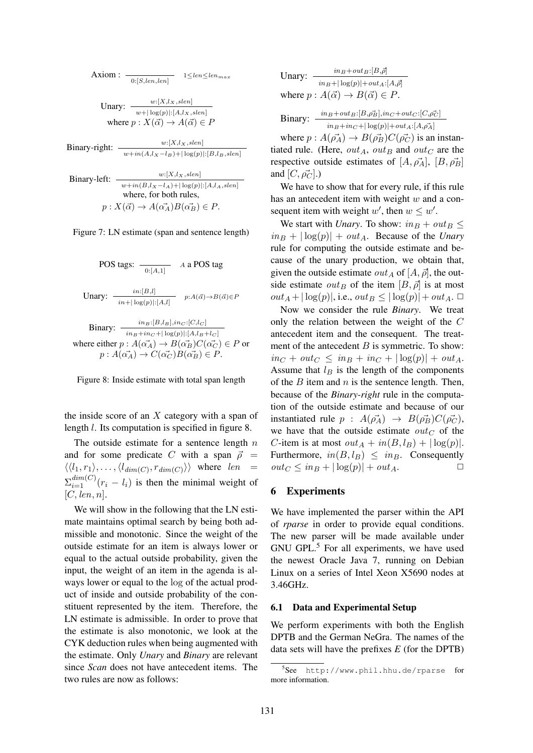Axiom: 
$$
\frac{1}{0:[S, len, len]} \quad 1 \leq len \leq len_{max}
$$

Unary:  $\frac{w:[X,l_X, slen]}{w+|\log(p)|:[A,l_X, slen]}$ where  $p : X(\vec{\alpha}) \to A(\vec{\alpha}) \in P$ 

Binary-right:  $\frac{w:[X, l_X, slen]}{w+in(A, l_X-l_B)+|\log(p)|:[B, l_B, slen]}$ 

Binary-left:  $\frac{w:[X,l_X,slen]}{w+in(B,l_X-l_A)+|\log(p)|:[A,l_A,slen]}$ where, for both rules,  $p: X(\vec{\alpha}) \to A(\vec{\alpha_A})B(\vec{\alpha_B}) \in P.$ 

Figure 7: LN estimate (span and sentence length)

POS tags: 
$$
\frac{in:[B,l]}{0:[A,1]}
$$
 *A* a POS tag  
\n  
\nUnary: 
$$
\frac{in:[B,l]}{in+|\log(p)|:[A,l]} \quad p:A(\vec{\alpha}) \rightarrow B(\vec{\alpha}) \in P
$$
\n  
\nBinary: 
$$
\frac{in_B:[B,l_B], inc:[C,l_C]}{in_B+inc+|\log(p)|:[A,l_B+l_C]}
$$
\nwhere either  $p:A(\vec{\alpha_A}) \rightarrow B(\vec{\alpha_B})C(\vec{\alpha_C}) \in P$  or  
\n $p:A(\vec{\alpha_A}) \rightarrow C(\vec{\alpha_C})B(\vec{\alpha_B}) \in P$ .

Figure 8: Inside estimate with total span length

the inside score of an  $X$  category with a span of length l. Its computation is specified in figure 8.

The outside estimate for a sentence length  $n$ and for some predicate C with a span  $\vec{\rho}$  =  $\langle \langle l_1, r_1 \rangle, \ldots, \langle l_{dim(C)}, r_{dim(C)} \rangle \rangle$  where len =  $\sum_{i=1}^{dim(C)} (r_i - l_i)$  is then the minimal weight of  $[C, len, n]$ .

We will show in the following that the LN estimate maintains optimal search by being both admissible and monotonic. Since the weight of the outside estimate for an item is always lower or equal to the actual outside probability, given the input, the weight of an item in the agenda is always lower or equal to the log of the actual product of inside and outside probability of the constituent represented by the item. Therefore, the LN estimate is admissible. In order to prove that the estimate is also monotonic, we look at the CYK deduction rules when being augmented with the estimate. Only *Unary* and *Binary* are relevant since *Scan* does not have antecedent items. The two rules are now as follows:

Unary:

\n
$$
\frac{\inf_{B} + \text{out}_{B}: [B, \vec{\rho}]}{\inf_{B} + |\log(p)| + \text{out}_{A}: [A, \vec{\rho}]}
$$
\nwhere  $p: A(\vec{\alpha}) \to B(\vec{\alpha}) \in P$ .

$$
\text{Binary:} \quad \frac{in_B + out_B : [B, \rho_B^2], in_C + out_C : [C, \rho_C^2]}{in_B + in_C + |\log(p)| + out_A : [A, \rho_A^2]}
$$

where  $p : A(\vec{\rho_A}) \to B(\vec{\rho_B})C(\vec{\rho_C})$  is an instantiated rule. (Here,  $out_A$ ,  $out_B$  and  $out_C$  are the respective outside estimates of  $[A, \vec{\rho}_A], [B, \vec{\rho}_B]$ and  $[C, \vec{\rho}_C]$ .)

We have to show that for every rule, if this rule has an antecedent item with weight  $w$  and a consequent item with weight  $w'$ , then  $w \leq w'$ .

We start with *Unary*. To show:  $in_B + out_B \leq$  $\int$   $in_B$  +  $|log(p)| + out_A$ . Because of the *Unary* rule for computing the outside estimate and because of the unary production, we obtain that, given the outside estimate  $out_A$  of  $[A, \vec{\rho}]$ , the outside estimate  $out_B$  of the item  $[B, \vec{\rho}]$  is at most  $out_A + |\log(p)|$ , i.e.,  $out_B \leq |\log(p)| + out_A$ .  $\Box$ 

Now we consider the rule *Binary*. We treat only the relation between the weight of the C antecedent item and the consequent. The treatment of the antecedent  $B$  is symmetric. To show:  $in_C + out_C \leq in_B + in_C + |\log(p)| + out_A$ . Assume that  $l_B$  is the length of the components of the  $B$  item and  $n$  is the sentence length. Then, because of the *Binary-right* rule in the computation of the outside estimate and because of our instantiated rule  $p : A(\vec{\rho_A}) \rightarrow B(\vec{\rho_B})C(\vec{\rho_C})$ , we have that the outside estimate  $out_C$  of the C-item is at most  $out_A + in(B, l_B) + |\log(p)|$ . Furthermore,  $in(B, l_B) \leq in_B$ . Consequently  $out_C \leq in_B + |\log(p)| + out_A.$ 

### 6 Experiments

We have implemented the parser within the API of *rparse* in order to provide equal conditions. The new parser will be made available under GNU GPL.<sup>5</sup> For all experiments, we have used the newest Oracle Java 7, running on Debian Linux on a series of Intel Xeon X5690 nodes at 3.46GHz.

### 6.1 Data and Experimental Setup

We perform experiments with both the English DPTB and the German NeGra. The names of the data sets will have the prefixes *E* (for the DPTB)

<sup>5</sup> See http://www.phil.hhu.de/rparse for more information.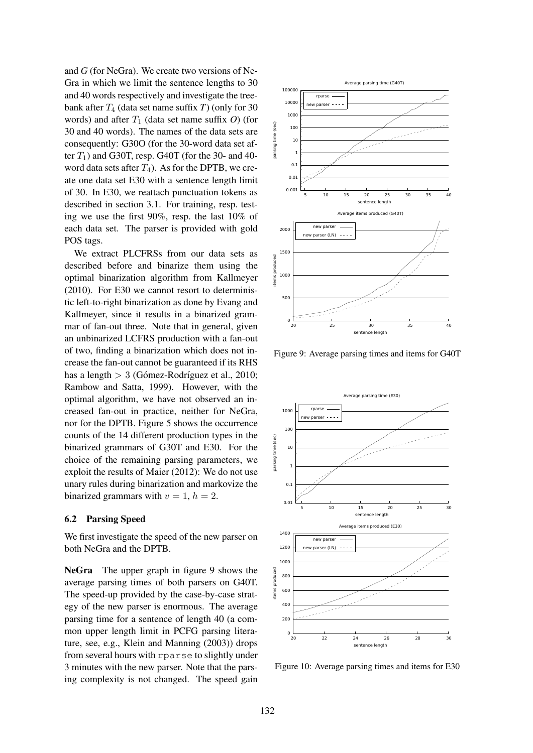and *G* (for NeGra). We create two versions of Ne-Gra in which we limit the sentence lengths to 30 and 40 words respectively and investigate the treebank after  $T_4$  (data set name suffix  $T$ ) (only for 30 words) and after  $T_1$  (data set name suffix O) (for 30 and 40 words). The names of the data sets are consequently: G30O (for the 30-word data set after  $T_1$ ) and G30T, resp. G40T (for the 30- and 40word data sets after  $T_4$ ). As for the DPTB, we create one data set E30 with a sentence length limit of 30. In E30, we reattach punctuation tokens as described in section 3.1. For training, resp. testing we use the first 90%, resp. the last 10% of each data set. The parser is provided with gold POS tags.

We extract PLCFRSs from our data sets as described before and binarize them using the optimal binarization algorithm from Kallmeyer (2010). For E30 we cannot resort to deterministic left-to-right binarization as done by Evang and Kallmeyer, since it results in a binarized grammar of fan-out three. Note that in general, given an unbinarized LCFRS production with a fan-out of two, finding a binarization which does not increase the fan-out cannot be guaranteed if its RHS has a length  $> 3$  (Gómez-Rodríguez et al., 2010; Rambow and Satta, 1999). However, with the optimal algorithm, we have not observed an increased fan-out in practice, neither for NeGra, nor for the DPTB. Figure 5 shows the occurrence counts of the 14 different production types in the binarized grammars of G30T and E30. For the choice of the remaining parsing parameters, we exploit the results of Maier (2012): We do not use unary rules during binarization and markovize the binarized grammars with  $v = 1$ ,  $h = 2$ .

# 6.2 Parsing Speed

We first investigate the speed of the new parser on both NeGra and the DPTB.

NeGra The upper graph in figure 9 shows the average parsing times of both parsers on G40T. The speed-up provided by the case-by-case strategy of the new parser is enormous. The average parsing time for a sentence of length 40 (a common upper length limit in PCFG parsing literature, see, e.g., Klein and Manning (2003)) drops from several hours with rparse to slightly under 3 minutes with the new parser. Note that the parsing complexity is not changed. The speed gain



Figure 9: Average parsing times and items for G40T



Figure 10: Average parsing times and items for E30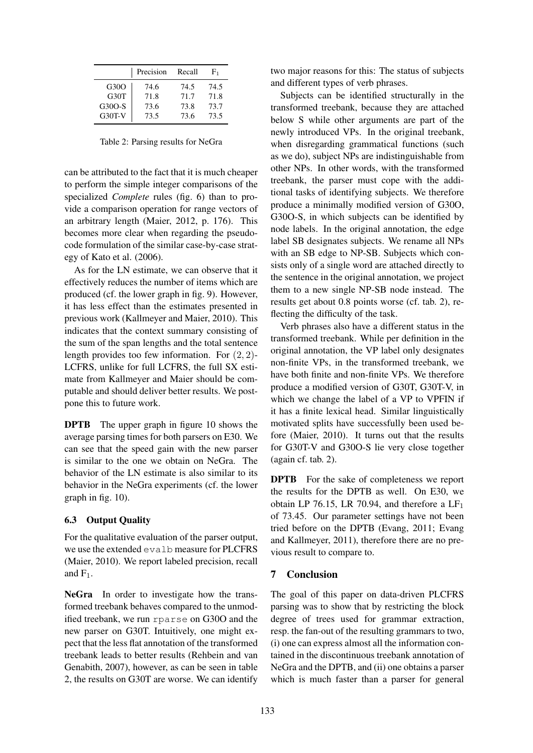|               | Precision | Recall | F٦   |
|---------------|-----------|--------|------|
| G30O          | 74.6      | 74.5   | 74.5 |
| G30T          | 71.8      | 71.7   | 71.8 |
| G30O-S        | 73.6      | 73.8   | 73.7 |
| <b>G30T-V</b> | 73.5      | 73.6   | 73.5 |

Table 2: Parsing results for NeGra

can be attributed to the fact that it is much cheaper to perform the simple integer comparisons of the specialized *Complete* rules (fig. 6) than to provide a comparison operation for range vectors of an arbitrary length (Maier, 2012, p. 176). This becomes more clear when regarding the pseudocode formulation of the similar case-by-case strategy of Kato et al. (2006).

As for the LN estimate, we can observe that it effectively reduces the number of items which are produced (cf. the lower graph in fig. 9). However, it has less effect than the estimates presented in previous work (Kallmeyer and Maier, 2010). This indicates that the context summary consisting of the sum of the span lengths and the total sentence length provides too few information. For  $(2, 2)$ -LCFRS, unlike for full LCFRS, the full SX estimate from Kallmeyer and Maier should be computable and should deliver better results. We postpone this to future work.

**DPTB** The upper graph in figure 10 shows the average parsing times for both parsers on E30. We can see that the speed gain with the new parser is similar to the one we obtain on NeGra. The behavior of the LN estimate is also similar to its behavior in the NeGra experiments (cf. the lower graph in fig. 10).

# 6.3 Output Quality

For the qualitative evaluation of the parser output, we use the extended evalb measure for PLCFRS (Maier, 2010). We report labeled precision, recall and  $F_1$ .

NeGra In order to investigate how the transformed treebank behaves compared to the unmodified treebank, we run rparse on G30O and the new parser on G30T. Intuitively, one might expect that the less flat annotation of the transformed treebank leads to better results (Rehbein and van Genabith, 2007), however, as can be seen in table 2, the results on G30T are worse. We can identify

two major reasons for this: The status of subjects and different types of verb phrases.

Subjects can be identified structurally in the transformed treebank, because they are attached below S while other arguments are part of the newly introduced VPs. In the original treebank, when disregarding grammatical functions (such as we do), subject NPs are indistinguishable from other NPs. In other words, with the transformed treebank, the parser must cope with the additional tasks of identifying subjects. We therefore produce a minimally modified version of G30O, G30O-S, in which subjects can be identified by node labels. In the original annotation, the edge label SB designates subjects. We rename all NPs with an SB edge to NP-SB. Subjects which consists only of a single word are attached directly to the sentence in the original annotation, we project them to a new single NP-SB node instead. The results get about 0.8 points worse (cf. tab. 2), reflecting the difficulty of the task.

Verb phrases also have a different status in the transformed treebank. While per definition in the original annotation, the VP label only designates non-finite VPs, in the transformed treebank, we have both finite and non-finite VPs. We therefore produce a modified version of G30T, G30T-V, in which we change the label of a VP to VPFIN if it has a finite lexical head. Similar linguistically motivated splits have successfully been used before (Maier, 2010). It turns out that the results for G30T-V and G30O-S lie very close together (again cf. tab. 2).

DPTB For the sake of completeness we report the results for the DPTB as well. On E30, we obtain LP 76.15, LR 70.94, and therefore a  $LF<sub>1</sub>$ of 73.45. Our parameter settings have not been tried before on the DPTB (Evang, 2011; Evang and Kallmeyer, 2011), therefore there are no previous result to compare to.

# 7 Conclusion

The goal of this paper on data-driven PLCFRS parsing was to show that by restricting the block degree of trees used for grammar extraction, resp. the fan-out of the resulting grammars to two, (i) one can express almost all the information contained in the discontinuous treebank annotation of NeGra and the DPTB, and (ii) one obtains a parser which is much faster than a parser for general